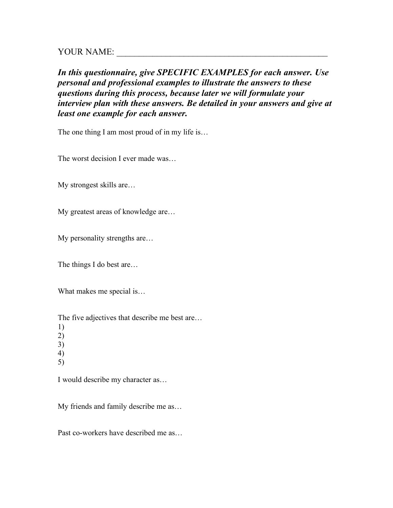YOUR NAME:

*In this questionnaire, give SPECIFIC EXAMPLES for each answer. Use personal and professional examples to illustrate the answers to these questions during this process, because later we will formulate your interview plan with these answers. Be detailed in your answers and give at least one example for each answer.*

The one thing I am most proud of in my life is...

The worst decision I ever made was…

My strongest skills are…

My greatest areas of knowledge are…

My personality strengths are…

The things I do best are…

What makes me special is…

The five adjectives that describe me best are…

- 1)
- 2)
- 3) 4)
- 5)

I would describe my character as…

My friends and family describe me as…

Past co-workers have described me as…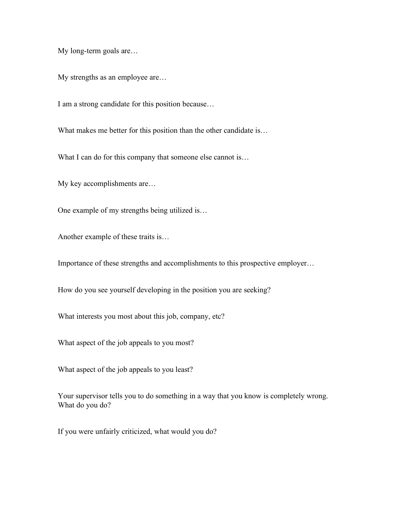My long-term goals are…

My strengths as an employee are…

I am a strong candidate for this position because…

What makes me better for this position than the other candidate is...

What I can do for this company that someone else cannot is...

My key accomplishments are…

One example of my strengths being utilized is…

Another example of these traits is…

Importance of these strengths and accomplishments to this prospective employer…

How do you see yourself developing in the position you are seeking?

What interests you most about this job, company, etc?

What aspect of the job appeals to you most?

What aspect of the job appeals to you least?

Your supervisor tells you to do something in a way that you know is completely wrong. What do you do?

If you were unfairly criticized, what would you do?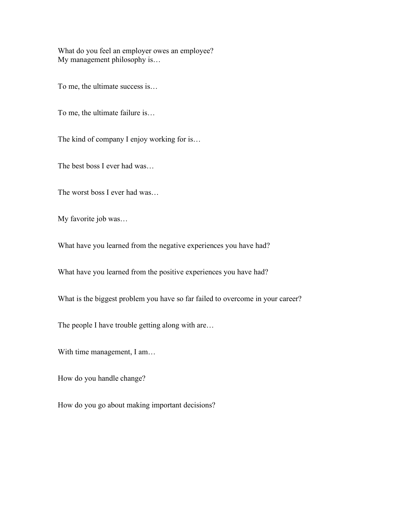What do you feel an employer owes an employee? My management philosophy is…

To me, the ultimate success is…

To me, the ultimate failure is…

The kind of company I enjoy working for is…

The best boss I ever had was…

The worst boss I ever had was…

My favorite job was…

What have you learned from the negative experiences you have had?

What have you learned from the positive experiences you have had?

What is the biggest problem you have so far failed to overcome in your career?

The people I have trouble getting along with are...

With time management, I am...

How do you handle change?

How do you go about making important decisions?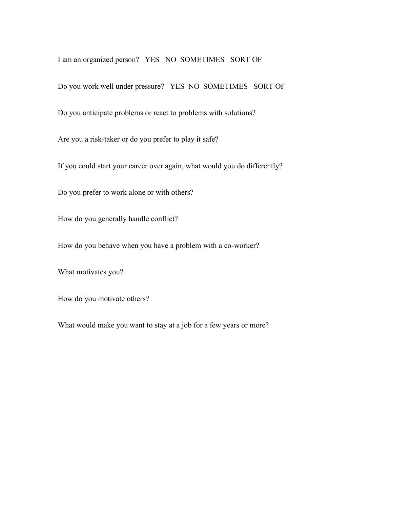I am an organized person? YES NO SOMETIMES SORT OF

Do you work well under pressure? YES NO SOMETIMES SORT OF

Do you anticipate problems or react to problems with solutions?

Are you a risk-taker or do you prefer to play it safe?

If you could start your career over again, what would you do differently?

Do you prefer to work alone or with others?

How do you generally handle conflict?

How do you behave when you have a problem with a co-worker?

What motivates you?

How do you motivate others?

What would make you want to stay at a job for a few years or more?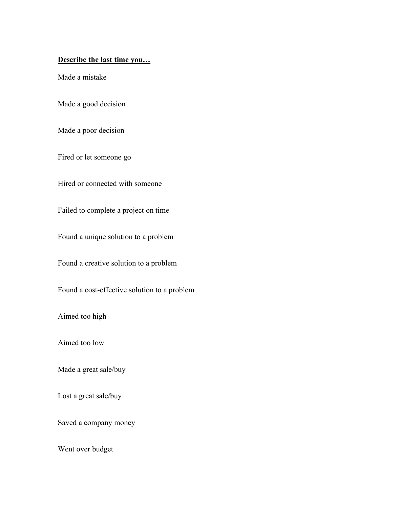## **Describe the last time you…**

Made a mistake

Made a good decision

Made a poor decision

Fired or let someone go

Hired or connected with someone

Failed to complete a project on time

Found a unique solution to a problem

Found a creative solution to a problem

Found a cost-effective solution to a problem

Aimed too high

Aimed too low

Made a great sale/buy

Lost a great sale/buy

Saved a company money

Went over budget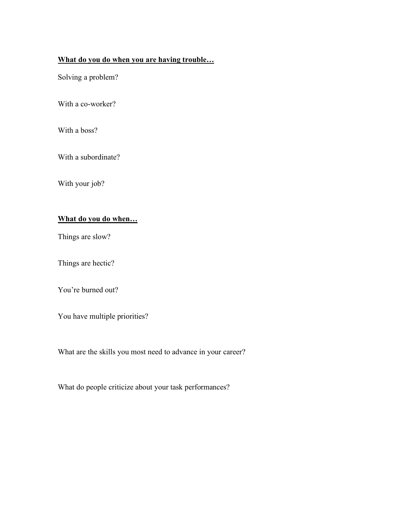## **What do you do when you are having trouble…**

Solving a problem?

With a co-worker?

With a boss?

With a subordinate?

With your job?

## **What do you do when…**

Things are slow?

Things are hectic?

You're burned out?

You have multiple priorities?

What are the skills you most need to advance in your career?

What do people criticize about your task performances?